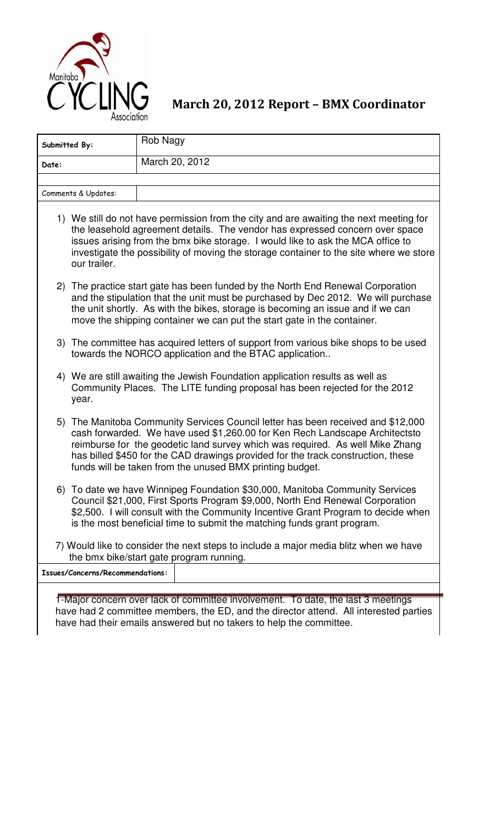

March 20, 2012 Report – BMX Coordinator

| Submitted By:                    | Rob Nagy                                                                                                                                                                                                                                                                                                                                                                                         |  |  |  |
|----------------------------------|--------------------------------------------------------------------------------------------------------------------------------------------------------------------------------------------------------------------------------------------------------------------------------------------------------------------------------------------------------------------------------------------------|--|--|--|
| Date:                            | March 20, 2012                                                                                                                                                                                                                                                                                                                                                                                   |  |  |  |
|                                  |                                                                                                                                                                                                                                                                                                                                                                                                  |  |  |  |
| Comments & Updates:              |                                                                                                                                                                                                                                                                                                                                                                                                  |  |  |  |
| our trailer.                     | 1) We still do not have permission from the city and are awaiting the next meeting for<br>the leasehold agreement details. The vendor has expressed concern over space<br>issues arising from the bmx bike storage. I would like to ask the MCA office to<br>investigate the possibility of moving the storage container to the site where we store                                              |  |  |  |
|                                  | 2) The practice start gate has been funded by the North End Renewal Corporation<br>and the stipulation that the unit must be purchased by Dec 2012. We will purchase<br>the unit shortly. As with the bikes, storage is becoming an issue and if we can<br>move the shipping container we can put the start gate in the container.                                                               |  |  |  |
|                                  | 3) The committee has acquired letters of support from various bike shops to be used<br>towards the NORCO application and the BTAC application                                                                                                                                                                                                                                                    |  |  |  |
| year.                            | 4) We are still awaiting the Jewish Foundation application results as well as<br>Community Places. The LITE funding proposal has been rejected for the 2012                                                                                                                                                                                                                                      |  |  |  |
|                                  | 5) The Manitoba Community Services Council letter has been received and \$12,000<br>cash forwarded. We have used \$1,260.00 for Ken Rech Landscape Architectsto<br>reimburse for the geodetic land survey which was required. As well Mike Zhang<br>has billed \$450 for the CAD drawings provided for the track construction, these<br>funds will be taken from the unused BMX printing budget. |  |  |  |
|                                  | 6) To date we have Winnipeg Foundation \$30,000, Manitoba Community Services<br>Council \$21,000, First Sports Program \$9,000, North End Renewal Corporation<br>\$2,500. I will consult with the Community Incentive Grant Program to decide when<br>is the most beneficial time to submit the matching funds grant program.                                                                    |  |  |  |
|                                  | 7) Would like to consider the next steps to include a major media blitz when we have<br>the bmx bike/start gate program running.                                                                                                                                                                                                                                                                 |  |  |  |
| Issues/Concerns/Recommendations: |                                                                                                                                                                                                                                                                                                                                                                                                  |  |  |  |
|                                  | I-Major concern over lack of committee involvement. To date, the last 3 meetings                                                                                                                                                                                                                                                                                                                 |  |  |  |

1-Major concern over lack of committee involvement. To date, the last 3 meetings have had 2 committee members, the ED, and the director attend. All interested parties have had their emails answered but no takers to help the committee.